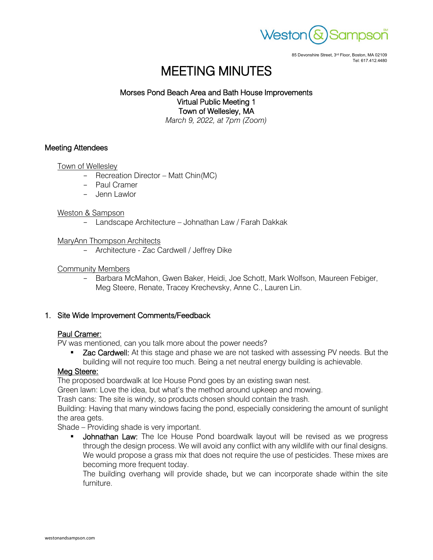

85 Devonshire Street, 3rd Floor, Boston, MA 02109 Tel: 617.412.4480

# MEETING MINUTES

# Morses Pond Beach Area and Bath House Improvements Virtual Public Meeting 1 Town of Wellesley, MA

*March 9, 2022, at 7pm (Zoom)*

# Meeting Attendees

#### Town of Wellesley

- Recreation Director Matt Chin(MC)
- Paul Cramer
- Jenn Lawlor

#### Weston & Sampson

- Landscape Architecture - Johnathan Law / Farah Dakkak

#### MaryAnn Thompson Architects

- Architecture - Zac Cardwell / Jeffrey Dike

#### Community Members

- Barbara McMahon, Gwen Baker, Heidi, Joe Schott, Mark Wolfson, Maureen Febiger, Meg Steere, Renate, Tracey Krechevsky, Anne C., Lauren Lin.

# 1. Site Wide Improvement Comments/Feedback

# Paul Cramer:

PV was mentioned, can you talk more about the power needs?

**EXAC Cardwell:** At this stage and phase we are not tasked with assessing PV needs. But the building will not require too much. Being a net neutral energy building is achievable.

# Meg Steere:

The proposed boardwalk at Ice House Pond goes by an existing swan nest.

Green lawn: Love the idea, but what's the method around upkeep and mowing.

Trash cans: The site is windy, so products chosen should contain the trash.

Building: Having that many windows facing the pond, especially considering the amount of sunlight the area gets.

Shade – Providing shade is very important.

Johnathan Law: The Ice House Pond boardwalk layout will be revised as we progress through the design process. We will avoid any conflict with any wildlife with our final designs. We would propose a grass mix that does not require the use of pesticides. These mixes are becoming more frequent today.

The building overhang will provide shade, but we can incorporate shade within the site furniture.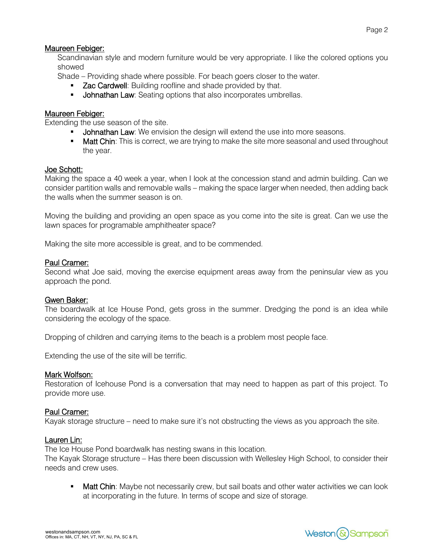# Maureen Febiger:

Scandinavian style and modern furniture would be very appropriate. I like the colored options you showed

Shade – Providing shade where possible. For beach goers closer to the water.

- **Zac Cardwell:** Building roofline and shade provided by that.
- **Johnathan Law**: Seating options that also incorporates umbrellas.

# Maureen Febiger:

Extending the use season of the site.

- **Johnathan Law**: We envision the design will extend the use into more seasons.
- **Matt Chin**: This is correct, we are trying to make the site more seasonal and used throughout the year.

# Joe Schott:

Making the space a 40 week a year, when I look at the concession stand and admin building. Can we consider partition walls and removable walls – making the space larger when needed, then adding back the walls when the summer season is on.

Moving the building and providing an open space as you come into the site is great. Can we use the lawn spaces for programable amphitheater space?

Making the site more accessible is great, and to be commended.

#### Paul Cramer:

Second what Joe said, moving the exercise equipment areas away from the peninsular view as you approach the pond.

# Gwen Baker:

The boardwalk at Ice House Pond, gets gross in the summer. Dredging the pond is an idea while considering the ecology of the space.

Dropping of children and carrying items to the beach is a problem most people face.

Extending the use of the site will be terrific.

#### Mark Wolfson:

Restoration of Icehouse Pond is a conversation that may need to happen as part of this project. To provide more use.

# Paul Cramer:

Kayak storage structure – need to make sure it's not obstructing the views as you approach the site.

#### Lauren Lin:

The Ice House Pond boardwalk has nesting swans in this location.

The Kayak Storage structure – Has there been discussion with Wellesley High School, to consider their needs and crew uses.

• Matt Chin: Maybe not necessarily crew, but sail boats and other water activities we can look at incorporating in the future. In terms of scope and size of storage.

Weston & Sampson